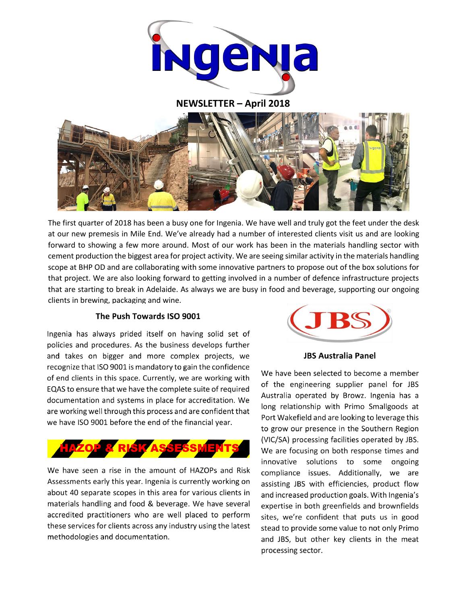

**NEWSLETTER – April 2018**



The first quarter of 2018 has been a busy one for Ingenia. We have well and truly got the feet under the desk at our new premesis in Mile End. We've already had a number of interested clients visit us and are looking forward to showing a few more around. Most of our work has been in the materials handling sector with cement production the biggest area for project activity. We are seeing similar activity in the materials handling scope at BHP OD and are collaborating with some innovative partners to propose out of the box solutions for that project. We are also looking forward to getting involved in a number of defence infrastructure projects that are starting to break in Adelaide. As always we are busy in food and beverage, supporting our ongoing clients in brewing, packaging and wine.

### The Push Towards ISO 9001

Ingenia has always prided itself on having solid set of policies and procedures. As the business develops further and takes on bigger and more complex projects, we recognize that ISO 9001 is mandatory to gain the confidence of end clients in this space. Currently, we are working with EQAS to ensure that we have the complete suite of required documentation and systems in place for accreditation. We are working well through this process and are confident that we have ISO 9001 before the end of the financial year.



We have seen a rise in the amount of HAZOPs and Risk Assessments early this year. Ingenia is currently working on about 40 separate scopes in this area for various clients in materials handling and food & beverage. We have several accredited practitioners who are well placed to perform these services for clients across any industry using the latest methodologies and documentation.



#### **JBS Australia Panel**

We have been selected to become a member of the engineering supplier panel for JBS Australia operated by Browz. Ingenia has a long relationship with Primo Smallgoods at Port Wakefield and are looking to leverage this to grow our presence in the Southern Region (VIC/SA) processing facilities operated by JBS. We are focusing on both response times and innovative solutions to some ongoing compliance issues. Additionally, we are assisting JBS with efficiencies, product flow and increased production goals. With Ingenia's expertise in both greenfields and brownfields sites, we're confident that puts us in good stead to provide some value to not only Primo and JBS, but other key clients in the meat processing sector.